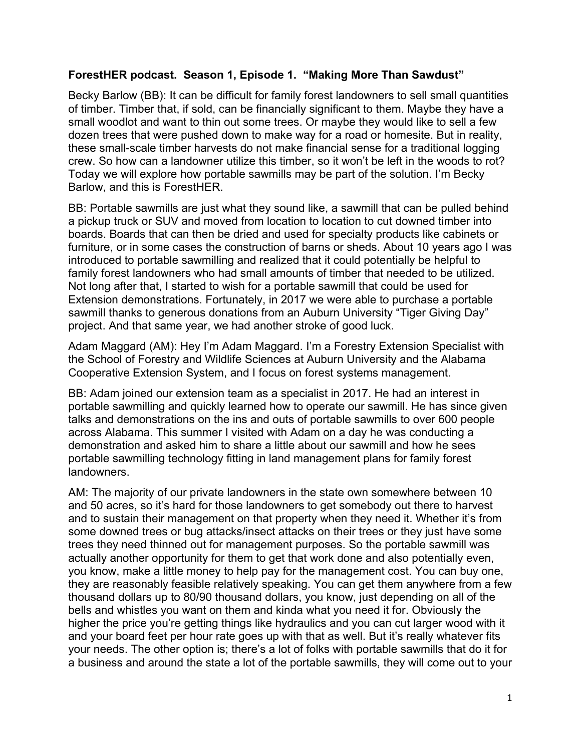## **ForestHER podcast. Season 1, Episode 1. "Making More Than Sawdust"**

Becky Barlow (BB): It can be difficult for family forest landowners to sell small quantities of timber. Timber that, if sold, can be financially significant to them. Maybe they have a small woodlot and want to thin out some trees. Or maybe they would like to sell a few dozen trees that were pushed down to make way for a road or homesite. But in reality, these small-scale timber harvests do not make financial sense for a traditional logging crew. So how can a landowner utilize this timber, so it won't be left in the woods to rot? Today we will explore how portable sawmills may be part of the solution. I'm Becky Barlow, and this is ForestHER.

BB: Portable sawmills are just what they sound like, a sawmill that can be pulled behind a pickup truck or SUV and moved from location to location to cut downed timber into boards. Boards that can then be dried and used for specialty products like cabinets or furniture, or in some cases the construction of barns or sheds. About 10 years ago I was introduced to portable sawmilling and realized that it could potentially be helpful to family forest landowners who had small amounts of timber that needed to be utilized. Not long after that, I started to wish for a portable sawmill that could be used for Extension demonstrations. Fortunately, in 2017 we were able to purchase a portable sawmill thanks to generous donations from an Auburn University "Tiger Giving Day" project. And that same year, we had another stroke of good luck.

Adam Maggard (AM): Hey I'm Adam Maggard. I'm a Forestry Extension Specialist with the School of Forestry and Wildlife Sciences at Auburn University and the Alabama Cooperative Extension System, and I focus on forest systems management.

BB: Adam joined our extension team as a specialist in 2017. He had an interest in portable sawmilling and quickly learned how to operate our sawmill. He has since given talks and demonstrations on the ins and outs of portable sawmills to over 600 people across Alabama. This summer I visited with Adam on a day he was conducting a demonstration and asked him to share a little about our sawmill and how he sees portable sawmilling technology fitting in land management plans for family forest landowners.

AM: The majority of our private landowners in the state own somewhere between 10 and 50 acres, so it's hard for those landowners to get somebody out there to harvest and to sustain their management on that property when they need it. Whether it's from some downed trees or bug attacks/insect attacks on their trees or they just have some trees they need thinned out for management purposes. So the portable sawmill was actually another opportunity for them to get that work done and also potentially even, you know, make a little money to help pay for the management cost. You can buy one, they are reasonably feasible relatively speaking. You can get them anywhere from a few thousand dollars up to 80/90 thousand dollars, you know, just depending on all of the bells and whistles you want on them and kinda what you need it for. Obviously the higher the price you're getting things like hydraulics and you can cut larger wood with it and your board feet per hour rate goes up with that as well. But it's really whatever fits your needs. The other option is; there's a lot of folks with portable sawmills that do it for a business and around the state a lot of the portable sawmills, they will come out to your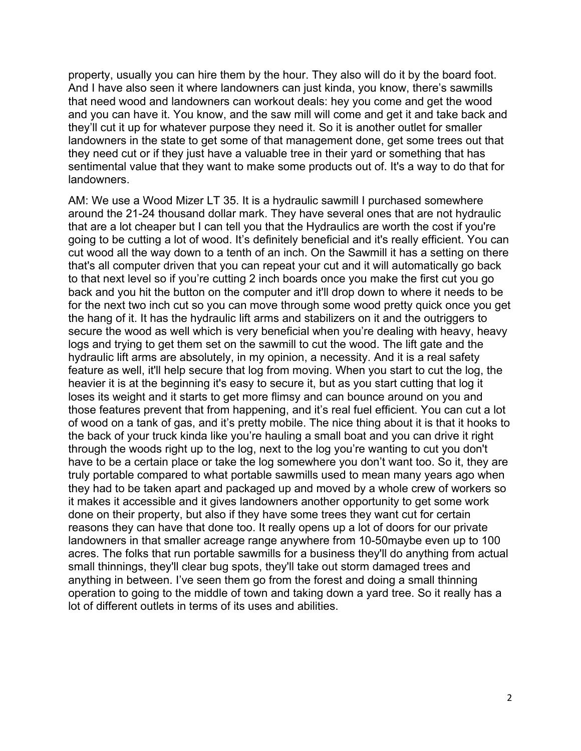property, usually you can hire them by the hour. They also will do it by the board foot. And I have also seen it where landowners can just kinda, you know, there's sawmills that need wood and landowners can workout deals: hey you come and get the wood and you can have it. You know, and the saw mill will come and get it and take back and they'll cut it up for whatever purpose they need it. So it is another outlet for smaller landowners in the state to get some of that management done, get some trees out that they need cut or if they just have a valuable tree in their yard or something that has sentimental value that they want to make some products out of. It's a way to do that for landowners.

AM: We use a Wood Mizer LT 35. It is a hydraulic sawmill I purchased somewhere around the 21-24 thousand dollar mark. They have several ones that are not hydraulic that are a lot cheaper but I can tell you that the Hydraulics are worth the cost if you're going to be cutting a lot of wood. It's definitely beneficial and it's really efficient. You can cut wood all the way down to a tenth of an inch. On the Sawmill it has a setting on there that's all computer driven that you can repeat your cut and it will automatically go back to that next level so if you're cutting 2 inch boards once you make the first cut you go back and you hit the button on the computer and it'll drop down to where it needs to be for the next two inch cut so you can move through some wood pretty quick once you get the hang of it. It has the hydraulic lift arms and stabilizers on it and the outriggers to secure the wood as well which is very beneficial when you're dealing with heavy, heavy logs and trying to get them set on the sawmill to cut the wood. The lift gate and the hydraulic lift arms are absolutely, in my opinion, a necessity. And it is a real safety feature as well, it'll help secure that log from moving. When you start to cut the log, the heavier it is at the beginning it's easy to secure it, but as you start cutting that log it loses its weight and it starts to get more flimsy and can bounce around on you and those features prevent that from happening, and it's real fuel efficient. You can cut a lot of wood on a tank of gas, and it's pretty mobile. The nice thing about it is that it hooks to the back of your truck kinda like you're hauling a small boat and you can drive it right through the woods right up to the log, next to the log you're wanting to cut you don't have to be a certain place or take the log somewhere you don't want too. So it, they are truly portable compared to what portable sawmills used to mean many years ago when they had to be taken apart and packaged up and moved by a whole crew of workers so it makes it accessible and it gives landowners another opportunity to get some work done on their property, but also if they have some trees they want cut for certain reasons they can have that done too. It really opens up a lot of doors for our private landowners in that smaller acreage range anywhere from 10-50maybe even up to 100 acres. The folks that run portable sawmills for a business they'll do anything from actual small thinnings, they'll clear bug spots, they'll take out storm damaged trees and anything in between. I've seen them go from the forest and doing a small thinning operation to going to the middle of town and taking down a yard tree. So it really has a lot of different outlets in terms of its uses and abilities.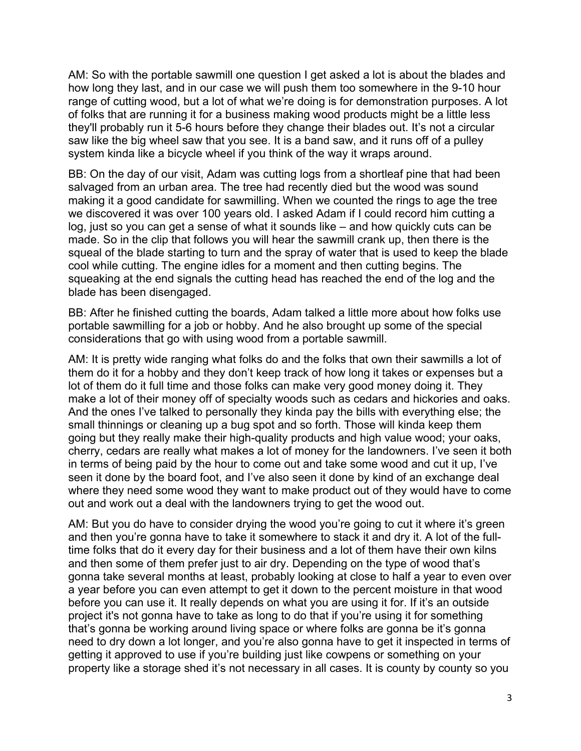AM: So with the portable sawmill one question I get asked a lot is about the blades and how long they last, and in our case we will push them too somewhere in the 9-10 hour range of cutting wood, but a lot of what we're doing is for demonstration purposes. A lot of folks that are running it for a business making wood products might be a little less they'll probably run it 5-6 hours before they change their blades out. It's not a circular saw like the big wheel saw that you see. It is a band saw, and it runs off of a pulley system kinda like a bicycle wheel if you think of the way it wraps around.

BB: On the day of our visit, Adam was cutting logs from a shortleaf pine that had been salvaged from an urban area. The tree had recently died but the wood was sound making it a good candidate for sawmilling. When we counted the rings to age the tree we discovered it was over 100 years old. I asked Adam if I could record him cutting a log, just so you can get a sense of what it sounds like – and how quickly cuts can be made. So in the clip that follows you will hear the sawmill crank up, then there is the squeal of the blade starting to turn and the spray of water that is used to keep the blade cool while cutting. The engine idles for a moment and then cutting begins. The squeaking at the end signals the cutting head has reached the end of the log and the blade has been disengaged.

BB: After he finished cutting the boards, Adam talked a little more about how folks use portable sawmilling for a job or hobby. And he also brought up some of the special considerations that go with using wood from a portable sawmill.

AM: It is pretty wide ranging what folks do and the folks that own their sawmills a lot of them do it for a hobby and they don't keep track of how long it takes or expenses but a lot of them do it full time and those folks can make very good money doing it. They make a lot of their money off of specialty woods such as cedars and hickories and oaks. And the ones I've talked to personally they kinda pay the bills with everything else; the small thinnings or cleaning up a bug spot and so forth. Those will kinda keep them going but they really make their high-quality products and high value wood; your oaks, cherry, cedars are really what makes a lot of money for the landowners. I've seen it both in terms of being paid by the hour to come out and take some wood and cut it up, I've seen it done by the board foot, and I've also seen it done by kind of an exchange deal where they need some wood they want to make product out of they would have to come out and work out a deal with the landowners trying to get the wood out.

AM: But you do have to consider drying the wood you're going to cut it where it's green and then you're gonna have to take it somewhere to stack it and dry it. A lot of the fulltime folks that do it every day for their business and a lot of them have their own kilns and then some of them prefer just to air dry. Depending on the type of wood that's gonna take several months at least, probably looking at close to half a year to even over a year before you can even attempt to get it down to the percent moisture in that wood before you can use it. It really depends on what you are using it for. If it's an outside project it's not gonna have to take as long to do that if you're using it for something that's gonna be working around living space or where folks are gonna be it's gonna need to dry down a lot longer, and you're also gonna have to get it inspected in terms of getting it approved to use if you're building just like cowpens or something on your property like a storage shed it's not necessary in all cases. It is county by county so you